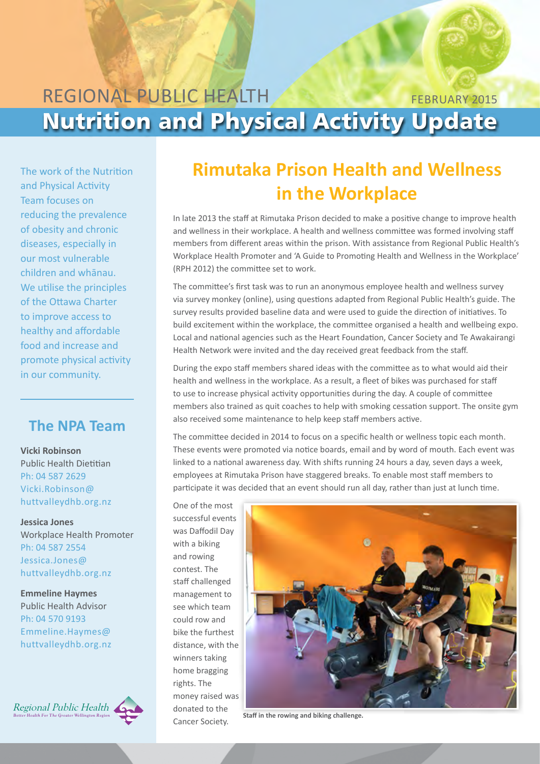## REGIONAL PUBLIC HEALTH Nutrition and Physical Activity Update february 2015

The work of the Nutrition and Physical Activity Team focuses on reducing the prevalence of obesity and chronic diseases, especially in our most vulnerable children and whānau. We utilise the principles of the Ottawa Charter to improve access to healthy and affordable food and increase and promote physical activity in our community.

## **The NPA Team**

**Vicki Robinson** Public Health Dietitian Ph: 04 587 2629 [Vicki.Robinson@](mailto:vicki.robinson@huttvalleydhb.org.nz) [huttvalleydhb.org.nz](mailto:vicki.robinson@huttvalleydhb.org.nz)

**Jessica Jones** Workplace Health Promoter Ph: 04 587 2554 [Jessica.Jones@](mailto:Jessica.Jones@huttvalleydhb.org.nz) [huttvalleydhb.org.nz](mailto:Jessica.Jones@huttvalleydhb.org.nz) 

**Emmeline Haymes** Public Health Advisor Ph: 04 570 9193 [Emmeline.Haymes@](mailto:Emmeline.Haymes@huttvalleydhb.org.nz) [huttvalleydhb.org.nz](mailto:Emmeline.Haymes@huttvalleydhb.org.nz) 



## **Rimutaka Prison Health and Wellness in the Workplace**

In late 2013 the staff at Rimutaka Prison decided to make a positive change to improve health and wellness in their workplace. A health and wellness committee was formed involving staff members from different areas within the prison. With assistance from Regional Public Health's Workplace Health Promoter and 'A Guide to Promoting Health and Wellness in the Workplace' (RPH 2012) the committee set to work.

The committee's first task was to run an anonymous employee health and wellness survey via survey monkey (online), using questions adapted from Regional Public Health's guide. The survey results provided baseline data and were used to guide the direction of initiatives. To build excitement within the workplace, the committee organised a health and wellbeing expo. Local and national agencies such as the Heart Foundation, Cancer Society and Te Awakairangi Health Network were invited and the day received great feedback from the staff.

During the expo staff members shared ideas with the committee as to what would aid their health and wellness in the workplace. As a result, a fleet of bikes was purchased for staff to use to increase physical activity opportunities during the day. A couple of committee members also trained as quit coaches to help with smoking cessation support. The onsite gym also received some maintenance to help keep staff members active.

The committee decided in 2014 to focus on a specific health or wellness topic each month. These events were promoted via notice boards, email and by word of mouth. Each event was linked to a national awareness day. With shifts running 24 hours a day, seven days a week, employees at Rimutaka Prison have staggered breaks. To enable most staff members to participate it was decided that an event should run all day, rather than just at lunch time.

One of the most successful events was Daffodil Day with a biking and rowing contest. The staff challenged management to see which team could row and bike the furthest distance, with the winners taking home bragging rights. The money raised was donated to the Cancer Society. **Staff in the rowing and biking challenge.**